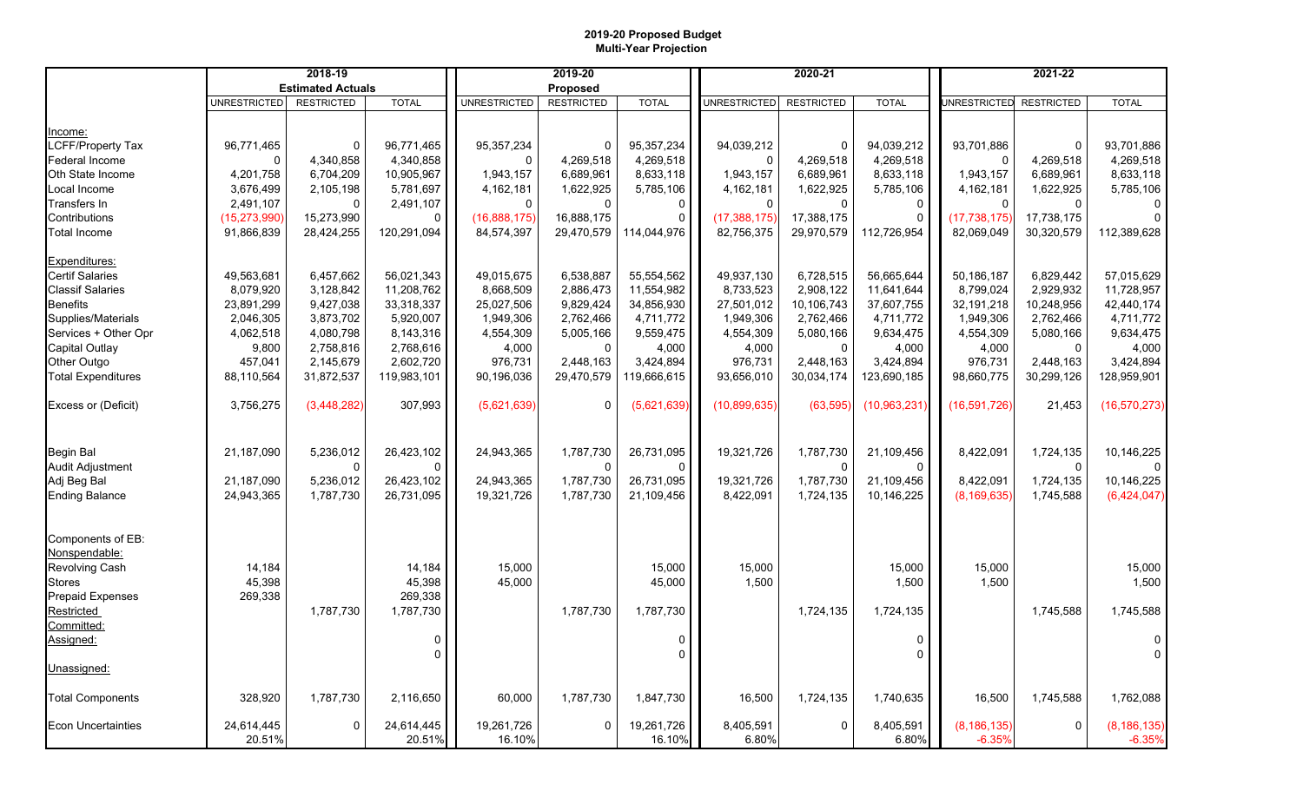## **2019-20 Proposed Budget Multi-Year Projection**

|                                    | 2018-19                  |                   | 2019-20              |                      |                   | 2020-21              |                     |                   | 2021-22            |                           |                   |                           |
|------------------------------------|--------------------------|-------------------|----------------------|----------------------|-------------------|----------------------|---------------------|-------------------|--------------------|---------------------------|-------------------|---------------------------|
|                                    | <b>Estimated Actuals</b> |                   | Proposed             |                      |                   |                      |                     |                   |                    |                           |                   |                           |
|                                    | UNRESTRICTED             | <b>RESTRICTED</b> | <b>TOTAL</b>         | <b>UNRESTRICTED</b>  | <b>RESTRICTED</b> | <b>TOTAL</b>         | <b>UNRESTRICTED</b> | <b>RESTRICTED</b> | <b>TOTAL</b>       | <b>UNRESTRICTED</b>       | <b>RESTRICTED</b> | <b>TOTAL</b>              |
|                                    |                          |                   |                      |                      |                   |                      |                     |                   |                    |                           |                   |                           |
| ncome:                             |                          |                   |                      |                      |                   |                      |                     |                   |                    |                           |                   |                           |
| LCFF/Property Tax                  | 96,771,465               | $\mathbf{0}$      | 96,771,465           | 95, 357, 234         | $\mathbf{0}$      | 95,357,234           | 94,039,212          | 0                 | 94,039,212         | 93,701,886                | $\Omega$          | 93,701,886                |
| Federal Income                     | $\Omega$                 | 4,340,858         | 4,340,858            | 0                    | 4,269,518         | 4,269,518            | 0                   | 4,269,518         | 4,269,518          | $\Omega$                  | 4,269,518         | 4,269,518                 |
| Oth State Income                   | 4,201,758                | 6,704,209         | 10,905,967           | 1,943,157            | 6,689,961         | 8,633,118            | 1,943,157           | 6,689,961         | 8,633,118          | 1,943,157                 | 6,689,961         | 8,633,118                 |
| Local Income                       | 3,676,499                | 2,105,198         | 5,781,697            | 4,162,181            | 1,622,925         | 5,785,106            | 4,162,181           | 1,622,925         | 5,785,106          | 4,162,181                 | 1,622,925         | 5,785,106                 |
| Transfers In                       | 2,491,107                | $\mathbf 0$       | 2,491,107            | $\mathbf 0$          | $\mathbf{0}$      | $\mathbf{0}$         | $\Omega$            | $\mathbf{0}$      | 0                  | $\Omega$                  | $\Omega$          |                           |
| Contributions                      | (15, 273, 990)           | 15,273,990        | $\Omega$             | (16,888,175)         | 16,888,175        | $\mathbf{0}$         | (17, 388, 175)      | 17,388,175        | $\Omega$           | (17, 738, 175)            | 17,738,175        |                           |
| <b>Total Income</b>                | 91,866,839               | 28,424,255        | 120,291,094          | 84,574,397           | 29,470,579        | 114,044,976          | 82,756,375          | 29,970,579        | 112,726,954        | 82,069,049                | 30,320,579        | 112,389,628               |
| Expenditures:                      |                          |                   |                      |                      |                   |                      |                     |                   |                    |                           |                   |                           |
| <b>Certif Salaries</b>             | 49,563,681               | 6,457,662         | 56,021,343           | 49,015,675           | 6,538,887         | 55,554,562           | 49,937,130          | 6,728,515         | 56,665,644         | 50,186,187                | 6,829,442         | 57,015,629                |
| <b>Classif Salaries</b>            | 8,079,920                | 3,128,842         | 11,208,762           | 8,668,509            | 2,886,473         | 11,554,982           | 8,733,523           | 2,908,122         | 11,641,644         | 8,799,024                 | 2,929,932         | 11,728,957                |
| <b>Benefits</b>                    | 23,891,299               | 9,427,038         | 33,318,337           | 25,027,506           | 9,829,424         | 34,856,930           | 27,501,012          | 10,106,743        | 37,607,755         | 32, 191, 218              | 10,248,956        | 42,440,174                |
| Supplies/Materials                 | 2,046,305                | 3,873,702         | 5,920,007            | 1,949,306            | 2,762,466         | 4,711,772            | 1,949,306           | 2,762,466         | 4,711,772          | 1,949,306                 | 2,762,466         | 4,711,772                 |
| Services + Other Opr               | 4,062,518                | 4,080,798         | 8,143,316            | 4,554,309            | 5,005,166         | 9,559,475            | 4,554,309           | 5,080,166         | 9,634,475          | 4,554,309                 | 5,080,166         | 9,634,475                 |
| Capital Outlay                     | 9,800                    | 2,758,816         | 2,768,616            | 4,000                | $\mathbf{0}$      | 4,000                | 4,000               | $\Omega$          | 4,000              | 4,000                     | $\Omega$          | 4,000                     |
| Other Outgo                        | 457,041                  | 2,145,679         | 2,602,720            | 976,731              | 2,448,163         | 3,424,894            | 976,731             | 2,448,163         | 3,424,894          | 976,731                   | 2,448,163         | 3,424,894                 |
| <b>Total Expenditures</b>          | 88,110,564               | 31,872,537        | 119,983,101          | 90,196,036           | 29,470,579        | 119,666,615          | 93,656,010          | 30,034,174        | 123,690,185        | 98,660,775                | 30,299,126        | 128,959,901               |
| Excess or (Deficit)                | 3,756,275                | (3,448,282)       | 307,993              | (5,621,639)          | 0                 | (5,621,639)          | (10,899,635)        | (63, 595)         | (10,963,231)       | (16, 591, 726)            | 21,453            | (16, 570, 273)            |
| Begin Bal                          | 21,187,090               | 5,236,012         | 26,423,102           | 24,943,365           | 1,787,730         | 26,731,095           | 19,321,726          | 1,787,730         | 21,109,456         | 8,422,091                 | 1,724,135         | 10,146,225                |
| <b>Audit Adjustment</b>            |                          | $\Omega$          | $\Omega$             |                      | $\mathbf{0}$      | $\mathbf{0}$         |                     | $\Omega$          | $\mathbf{0}$       |                           | $\mathbf{0}$      | $\mathbf{0}$              |
| Adj Beg Bal                        | 21,187,090               | 5,236,012         | 26,423,102           | 24,943,365           | 1,787,730         | 26,731,095           | 19,321,726          | 1,787,730         | 21,109,456         | 8,422,091                 | 1,724,135         | 10,146,225                |
| <b>Ending Balance</b>              | 24,943,365               | 1,787,730         | 26,731,095           | 19,321,726           | 1,787,730         | 21,109,456           | 8,422,091           | 1,724,135         | 10,146,225         | (8, 169, 635)             | 1,745,588         | (6,424,047)               |
| Components of EB:<br>Nonspendable: |                          |                   |                      |                      |                   |                      |                     |                   |                    |                           |                   |                           |
| Revolving Cash                     | 14,184                   |                   | 14,184               | 15,000               |                   | 15,000               | 15,000              |                   | 15,000             | 15,000                    |                   | 15,000                    |
| <b>Stores</b>                      | 45,398                   |                   | 45,398               | 45,000               |                   | 45,000               | 1,500               |                   | 1,500              | 1,500                     |                   | 1,500                     |
| <b>Prepaid Expenses</b>            | 269,338                  |                   | 269,338              |                      |                   |                      |                     |                   |                    |                           |                   |                           |
| Restricted                         |                          | 1,787,730         | 1,787,730            |                      | 1,787,730         | 1,787,730            |                     | 1,724,135         | 1,724,135          |                           | 1,745,588         | 1,745,588                 |
| Committed:                         |                          |                   |                      |                      |                   |                      |                     |                   |                    |                           |                   |                           |
| Assigned:                          |                          |                   | 0                    |                      |                   | 0                    |                     |                   | 0                  |                           |                   | 0                         |
| Unassigned:                        |                          |                   | 0                    |                      |                   | 0                    |                     |                   | 0                  |                           |                   | 0                         |
|                                    |                          |                   |                      |                      |                   |                      |                     |                   |                    |                           |                   |                           |
| <b>Total Components</b>            | 328,920                  | 1,787,730         | 2,116,650            | 60,000               | 1,787,730         | 1,847,730            | 16,500              | 1,724,135         | 1,740,635          | 16,500                    | 1,745,588         | 1,762,088                 |
| <b>Econ Uncertainties</b>          | 24,614,445<br>20.51%     | 0                 | 24,614,445<br>20.51% | 19,261,726<br>16.10% | 0                 | 19,261,726<br>16.10% | 8,405,591<br>6.80%  | 0                 | 8,405,591<br>6.80% | (8, 186, 135)<br>$-6.35%$ | 0                 | (8, 186, 135)<br>$-6.35%$ |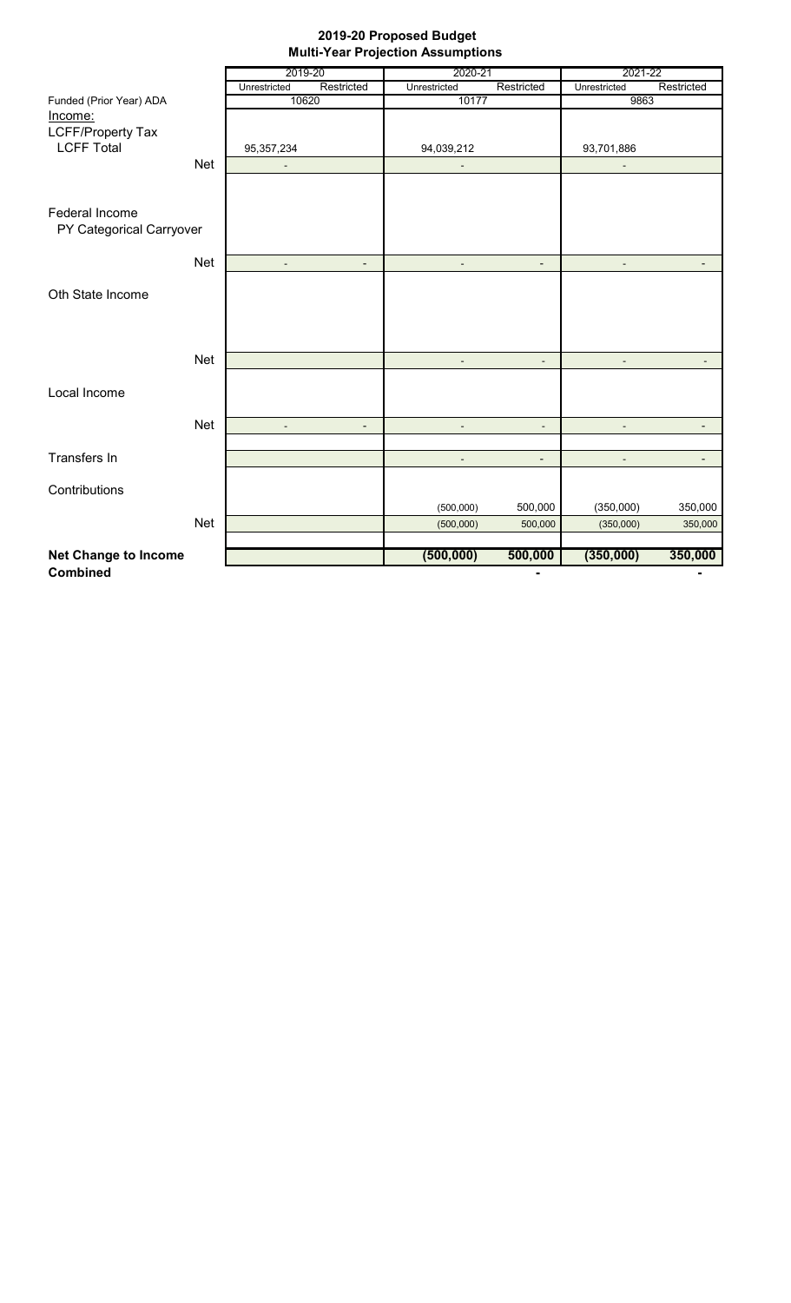## **2019-20 Proposed Budget Multi-Year Projection Assumptions**

|                             |            | 2019-20        |                          | 2020-21        |                          | 2021-22      |                          |  |
|-----------------------------|------------|----------------|--------------------------|----------------|--------------------------|--------------|--------------------------|--|
|                             |            | Unrestricted   | Restricted               | Unrestricted   | Restricted               | Unrestricted | Restricted               |  |
| Funded (Prior Year) ADA     |            | 10620          |                          | 10177          |                          | 9863         |                          |  |
| Income:                     |            |                |                          |                |                          |              |                          |  |
| <b>LCFF/Property Tax</b>    |            |                |                          |                |                          |              |                          |  |
| <b>LCFF Total</b>           |            | 95,357,234     |                          | 94,039,212     |                          | 93,701,886   |                          |  |
|                             | <b>Net</b> | L,             |                          |                |                          |              |                          |  |
|                             |            |                |                          |                |                          |              |                          |  |
|                             |            |                |                          |                |                          |              |                          |  |
| Federal Income              |            |                |                          |                |                          |              |                          |  |
| PY Categorical Carryover    |            |                |                          |                |                          |              |                          |  |
|                             |            |                |                          |                |                          |              |                          |  |
|                             | <b>Net</b> |                | $\overline{\phantom{0}}$ |                | $\overline{\phantom{0}}$ |              | -                        |  |
|                             |            |                |                          |                |                          |              |                          |  |
| Oth State Income            |            |                |                          |                |                          |              |                          |  |
|                             |            |                |                          |                |                          |              |                          |  |
|                             |            |                |                          |                |                          |              |                          |  |
|                             |            |                |                          |                |                          |              |                          |  |
|                             | <b>Net</b> |                |                          |                | $\blacksquare$           |              | $\blacksquare$           |  |
|                             |            |                |                          |                |                          |              |                          |  |
| Local Income                |            |                |                          |                |                          |              |                          |  |
|                             |            |                |                          |                |                          |              |                          |  |
|                             | <b>Net</b> | $\blacksquare$ | $\blacksquare$           | $\blacksquare$ | $\blacksquare$           |              | $\overline{\phantom{a}}$ |  |
|                             |            |                |                          |                |                          |              |                          |  |
| <b>Transfers In</b>         |            |                |                          | $\blacksquare$ | $\overline{\phantom{a}}$ |              | $\overline{\phantom{a}}$ |  |
|                             |            |                |                          |                |                          |              |                          |  |
| Contributions               |            |                |                          |                |                          |              |                          |  |
|                             |            |                |                          | (500,000)      | 500,000                  | (350,000)    | 350,000                  |  |
|                             | <b>Net</b> |                |                          | (500,000)      | 500,000                  | (350,000)    | 350,000                  |  |
|                             |            |                |                          |                |                          |              |                          |  |
| <b>Net Change to Income</b> |            |                |                          | (500, 000)     | 500,000                  | (350,000)    | 350,000                  |  |
| <b>Combined</b>             |            |                |                          |                | ٠                        |              | $\blacksquare$           |  |